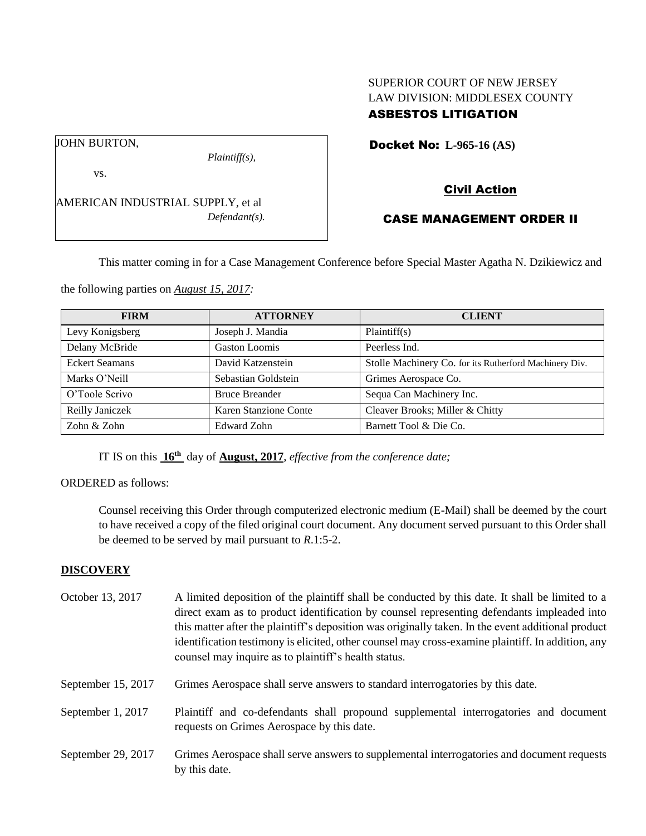## SUPERIOR COURT OF NEW JERSEY LAW DIVISION: MIDDLESEX COUNTY ASBESTOS LITIGATION

Docket No: **L-965-16 (AS)** 

vs.

JOHN BURTON,

AMERICAN INDUSTRIAL SUPPLY, et al *Defendant(s).*

*Plaintiff(s),*

# Civil Action

# CASE MANAGEMENT ORDER II

This matter coming in for a Case Management Conference before Special Master Agatha N. Dzikiewicz and

the following parties on *August 15, 2017:*

| <b>FIRM</b>           | <b>ATTORNEY</b>       | <b>CLIENT</b>                                          |
|-----------------------|-----------------------|--------------------------------------------------------|
| Levy Konigsberg       | Joseph J. Mandia      | Plaintiff(s)                                           |
| Delany McBride        | Gaston Loomis         | Peerless Ind.                                          |
| <b>Eckert Seamans</b> | David Katzenstein     | Stolle Machinery Co. for its Rutherford Machinery Div. |
| Marks O'Neill         | Sebastian Goldstein   | Grimes Aerospace Co.                                   |
| O'Toole Scrivo        | <b>Bruce Breander</b> | Sequa Can Machinery Inc.                               |
| Reilly Janiczek       | Karen Stanzione Conte | Cleaver Brooks; Miller & Chitty                        |
| Zohn & Zohn           | <b>Edward Zohn</b>    | Barnett Tool & Die Co.                                 |

IT IS on this **16th** day of **August, 2017**, *effective from the conference date;*

ORDERED as follows:

Counsel receiving this Order through computerized electronic medium (E-Mail) shall be deemed by the court to have received a copy of the filed original court document. Any document served pursuant to this Order shall be deemed to be served by mail pursuant to *R*.1:5-2.

## **DISCOVERY**

| October 13, 2017   | A limited deposition of the plaintiff shall be conducted by this date. It shall be limited to a<br>direct exam as to product identification by counsel representing defendants impleaded into<br>this matter after the plaintiff's deposition was originally taken. In the event additional product<br>identification testimony is elicited, other counsel may cross-examine plaintiff. In addition, any<br>counsel may inquire as to plaintiff's health status. |
|--------------------|------------------------------------------------------------------------------------------------------------------------------------------------------------------------------------------------------------------------------------------------------------------------------------------------------------------------------------------------------------------------------------------------------------------------------------------------------------------|
| September 15, 2017 | Grimes Aerospace shall serve answers to standard interrogatories by this date.                                                                                                                                                                                                                                                                                                                                                                                   |
| September 1, 2017  | Plaintiff and co-defendants shall propound supplemental interrogatories and document<br>requests on Grimes Aerospace by this date.                                                                                                                                                                                                                                                                                                                               |
| September 29, 2017 | Grimes Aerospace shall serve answers to supplemental interrogatories and document requests<br>by this date.                                                                                                                                                                                                                                                                                                                                                      |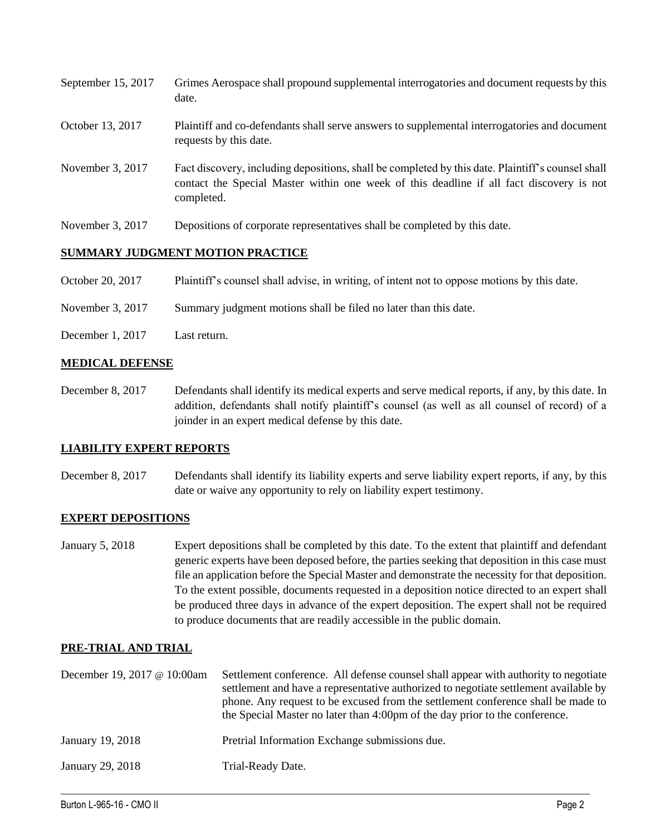| September 15, 2017 | Grimes Aerospace shall propound supplemental interrogatories and document requests by this<br>date.                                                                                                         |
|--------------------|-------------------------------------------------------------------------------------------------------------------------------------------------------------------------------------------------------------|
| October 13, 2017   | Plaintiff and co-defendants shall serve answers to supplemental interrogatories and document<br>requests by this date.                                                                                      |
| November 3, 2017   | Fact discovery, including depositions, shall be completed by this date. Plaintiff's counsel shall<br>contact the Special Master within one week of this deadline if all fact discovery is not<br>completed. |
| November 3, 2017   | Depositions of corporate representatives shall be completed by this date.                                                                                                                                   |

### **SUMMARY JUDGMENT MOTION PRACTICE**

October 20, 2017 Plaintiff's counsel shall advise, in writing, of intent not to oppose motions by this date.

November 3, 2017 Summary judgment motions shall be filed no later than this date.

December 1, 2017 Last return.

### **MEDICAL DEFENSE**

December 8, 2017 Defendants shall identify its medical experts and serve medical reports, if any, by this date. In addition, defendants shall notify plaintiff's counsel (as well as all counsel of record) of a joinder in an expert medical defense by this date.

#### **LIABILITY EXPERT REPORTS**

December 8, 2017 Defendants shall identify its liability experts and serve liability expert reports, if any, by this date or waive any opportunity to rely on liability expert testimony.

#### **EXPERT DEPOSITIONS**

January 5, 2018 Expert depositions shall be completed by this date. To the extent that plaintiff and defendant generic experts have been deposed before, the parties seeking that deposition in this case must file an application before the Special Master and demonstrate the necessity for that deposition. To the extent possible, documents requested in a deposition notice directed to an expert shall be produced three days in advance of the expert deposition. The expert shall not be required to produce documents that are readily accessible in the public domain.

## **PRE-TRIAL AND TRIAL**

| December 19, 2017 @ 10:00am | Settlement conference. All defense counsel shall appear with authority to negotiate<br>settlement and have a representative authorized to negotiate settlement available by<br>phone. Any request to be excused from the settlement conference shall be made to<br>the Special Master no later than 4:00pm of the day prior to the conference. |
|-----------------------------|------------------------------------------------------------------------------------------------------------------------------------------------------------------------------------------------------------------------------------------------------------------------------------------------------------------------------------------------|
| January 19, 2018            | Pretrial Information Exchange submissions due.                                                                                                                                                                                                                                                                                                 |
| January 29, 2018            | Trial-Ready Date.                                                                                                                                                                                                                                                                                                                              |

 $\_$  ,  $\_$  ,  $\_$  ,  $\_$  ,  $\_$  ,  $\_$  ,  $\_$  ,  $\_$  ,  $\_$  ,  $\_$  ,  $\_$  ,  $\_$  ,  $\_$  ,  $\_$  ,  $\_$  ,  $\_$  ,  $\_$  ,  $\_$  ,  $\_$  ,  $\_$  ,  $\_$  ,  $\_$  ,  $\_$  ,  $\_$  ,  $\_$  ,  $\_$  ,  $\_$  ,  $\_$  ,  $\_$  ,  $\_$  ,  $\_$  ,  $\_$  ,  $\_$  ,  $\_$  ,  $\_$  ,  $\_$  ,  $\_$  ,